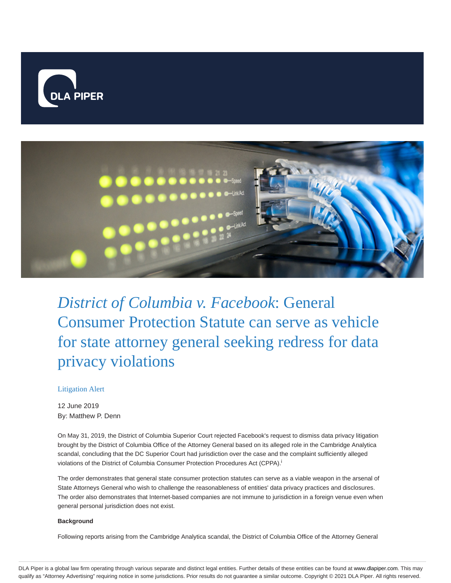



*District of Columbia v. Facebook*: General Consumer Protection Statute can serve as vehicle for state attorney general seeking redress for data privacy violations

## Litigation Alert

12 June 2019 By: Matthew P. Denn

On May 31, 2019, the District of Columbia Superior Court rejected Facebook's request to dismiss data privacy litigation brought by the District of Columbia Office of the Attorney General based on its alleged role in the Cambridge Analytica scandal, concluding that the DC Superior Court had jurisdiction over the case and the complaint sufficiently alleged violations of the District of Columbia Consumer Protection Procedures Act (CPPA). i

The order demonstrates that general state consumer protection statutes can serve as a viable weapon in the arsenal of State Attorneys General who wish to challenge the reasonableness of entities' data privacy practices and disclosures. The order also demonstrates that Internet-based companies are not immune to jurisdiction in a foreign venue even when general personal jurisdiction does not exist.

#### **Background**

Following reports arising from the Cambridge Analytica scandal, the District of Columbia Office of the Attorney General

DLA Piper is a global law firm operating through various separate and distinct legal entities. Further details of these entities can be found at www.dlapiper.com. This may qualify as "Attorney Advertising" requiring notice in some jurisdictions. Prior results do not guarantee a similar outcome. Copyright © 2021 DLA Piper. All rights reserved.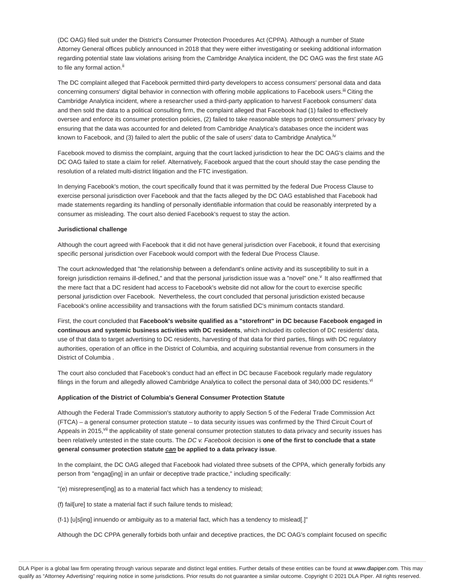(DC OAG) filed suit under the District's Consumer Protection Procedures Act (CPPA). Although a number of State Attorney General offices publicly announced in 2018 that they were either investigating or seeking additional information regarding potential state law violations arising from the Cambridge Analytica incident, the DC OAG was the first state AG to file any formal action.<sup>ii</sup>

The DC complaint alleged that Facebook permitted third-party developers to access consumers' personal data and data concerning consumers' digital behavior in connection with offering mobile applications to Facebook users.<sup>III</sup> Citing the Cambridge Analytica incident, where a researcher used a third-party application to harvest Facebook consumers' data and then sold the data to a political consulting firm, the complaint alleged that Facebook had (1) failed to effectively oversee and enforce its consumer protection policies, (2) failed to take reasonable steps to protect consumers' privacy by ensuring that the data was accounted for and deleted from Cambridge Analytica's databases once the incident was known to Facebook, and (3) failed to alert the public of the sale of users' data to Cambridge Analytica.<sup>iv</sup>

Facebook moved to dismiss the complaint, arguing that the court lacked jurisdiction to hear the DC OAG's claims and the DC OAG failed to state a claim for relief. Alternatively, Facebook argued that the court should stay the case pending the resolution of a related multi-district litigation and the FTC investigation.

In denying Facebook's motion, the court specifically found that it was permitted by the federal Due Process Clause to exercise personal jurisdiction over Facebook and that the facts alleged by the DC OAG established that Facebook had made statements regarding its handling of personally identifiable information that could be reasonably interpreted by a consumer as misleading. The court also denied Facebook's request to stay the action.

#### **Jurisdictional challenge**

Although the court agreed with Facebook that it did not have general jurisdiction over Facebook, it found that exercising specific personal jurisdiction over Facebook would comport with the federal Due Process Clause.

The court acknowledged that "the relationship between a defendant's online activity and its susceptibility to suit in a foreign jurisdiction remains ill-defined," and that the personal jurisdiction issue was a "novel" one.<sup>v</sup> It also reaffirmed that the mere fact that a DC resident had access to Facebook's website did not allow for the court to exercise specific personal jurisdiction over Facebook. Nevertheless, the court concluded that personal jurisdiction existed because Facebook's online accessibility and transactions with the forum satisfied DC's minimum contacts standard.

First, the court concluded that **Facebook's website qualified as a "storefront" in DC because Facebook engaged in continuous and systemic business activities with DC residents**, which included its collection of DC residents' data, use of that data to target advertising to DC residents, harvesting of that data for third parties, filings with DC regulatory authorities, operation of an office in the District of Columbia, and acquiring substantial revenue from consumers in the District of Columbia .

The court also concluded that Facebook's conduct had an effect in DC because Facebook regularly made regulatory filings in the forum and allegedly allowed Cambridge Analytica to collect the personal data of 340,000 DC residents.<sup>vi</sup>

#### **Application of the District of Columbia's General Consumer Protection Statute**

Although the Federal Trade Commission's statutory authority to apply Section 5 of the Federal Trade Commission Act (FTCA) – a general consumer protection statute – to data security issues was confirmed by the Third Circuit Court of Appeals in 2015, Vil the applicability of state general consumer protection statutes to data privacy and security issues has been relatively untested in the state courts. The DC v. Facebook decision is **one of the first to conclude that a state general consumer protection statute can be applied to a data privacy issue**.

In the complaint, the DC OAG alleged that Facebook had violated three subsets of the CPPA, which generally forbids any person from "engag[ing] in an unfair or deceptive trade practice," including specifically:

"(e) misrepresent[ing] as to a material fact which has a tendency to mislead;

(f) fail[ure] to state a material fact if such failure tends to mislead;

(f-1) [u]s[ing] innuendo or ambiguity as to a material fact, which has a tendency to mislead[.]"

Although the DC CPPA generally forbids both unfair and deceptive practices, the DC OAG's complaint focused on specific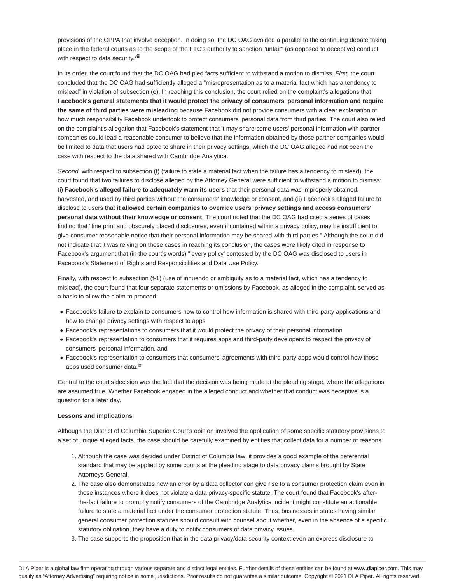provisions of the CPPA that involve deception. In doing so, the DC OAG avoided a parallel to the continuing debate taking place in the federal courts as to the scope of the FTC's authority to sanction "unfair" (as opposed to deceptive) conduct with respect to data security.<sup>viii</sup>

In its order, the court found that the DC OAG had pled facts sufficient to withstand a motion to dismiss. First, the court concluded that the DC OAG had sufficiently alleged a "misrepresentation as to a material fact which has a tendency to mislead" in violation of subsection (e). In reaching this conclusion, the court relied on the complaint's allegations that **Facebook's general statements that it would protect the privacy of consumers' personal information and require the same of third parties were misleading** because Facebook did not provide consumers with a clear explanation of how much responsibility Facebook undertook to protect consumers' personal data from third parties. The court also relied on the complaint's allegation that Facebook's statement that it may share some users' personal information with partner companies could lead a reasonable consumer to believe that the information obtained by those partner companies would be limited to data that users had opted to share in their privacy settings, which the DC OAG alleged had not been the case with respect to the data shared with Cambridge Analytica.

Second, with respect to subsection (f) (failure to state a material fact when the failure has a tendency to mislead), the court found that two failures to disclose alleged by the Attorney General were sufficient to withstand a motion to dismiss: (i) **Facebook's alleged failure to adequately warn its users** that their personal data was improperly obtained, harvested, and used by third parties without the consumers' knowledge or consent, and (ii) Facebook's alleged failure to disclose to users that **it allowed certain companies to override users' privacy settings and access consumers' personal data without their knowledge or consent**. The court noted that the DC OAG had cited a series of cases finding that "fine print and obscurely placed disclosures, even if contained within a privacy policy, may be insufficient to give consumer reasonable notice that their personal information may be shared with third parties." Although the court did not indicate that it was relying on these cases in reaching its conclusion, the cases were likely cited in response to Facebook's argument that (in the court's words) "'every policy' contested by the DC OAG was disclosed to users in Facebook's Statement of Rights and Responsibilities and Data Use Policy."

Finally, with respect to subsection (f-1) (use of innuendo or ambiguity as to a material fact, which has a tendency to mislead), the court found that four separate statements or omissions by Facebook, as alleged in the complaint, served as a basis to allow the claim to proceed:

- Facebook's failure to explain to consumers how to control how information is shared with third-party applications and how to change privacy settings with respect to apps
- Facebook's representations to consumers that it would protect the privacy of their personal information
- Facebook's representation to consumers that it requires apps and third-party developers to respect the privacy of consumers' personal information, and
- Facebook's representation to consumers that consumers' agreements with third-party apps would control how those apps used consumer data.<sup>ix</sup>

Central to the court's decision was the fact that the decision was being made at the pleading stage, where the allegations are assumed true. Whether Facebook engaged in the alleged conduct and whether that conduct was deceptive is a question for a later day.

#### **Lessons and implications**

Although the District of Columbia Superior Court's opinion involved the application of some specific statutory provisions to a set of unique alleged facts, the case should be carefully examined by entities that collect data for a number of reasons.

- Although the case was decided under District of Columbia law, it provides a good example of the deferential 1. standard that may be applied by some courts at the pleading stage to data privacy claims brought by State Attorneys General.
- The case also demonstrates how an error by a data collector can give rise to a consumer protection claim even in 2. those instances where it does not violate a data privacy-specific statute. The court found that Facebook's afterthe-fact failure to promptly notify consumers of the Cambridge Analytica incident might constitute an actionable failure to state a material fact under the consumer protection statute. Thus, businesses in states having similar general consumer protection statutes should consult with counsel about whether, even in the absence of a specific statutory obligation, they have a duty to notify consumers of data privacy issues.
- 3. The case supports the proposition that in the data privacy/data security context even an express disclosure to